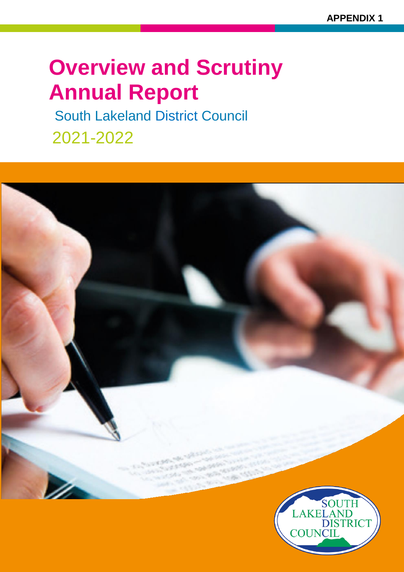# **Overview and Scrutiny Annual Report**

South Lakeland District Council 2021-2022

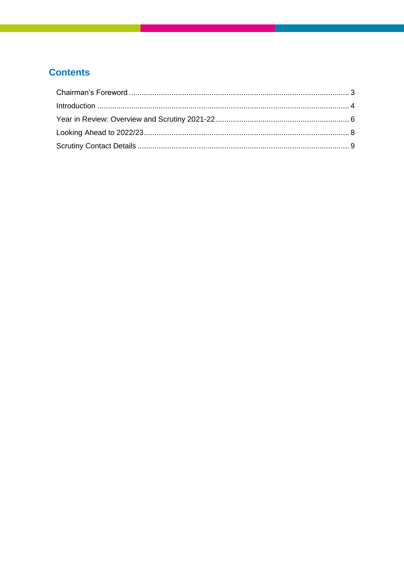# **Contents**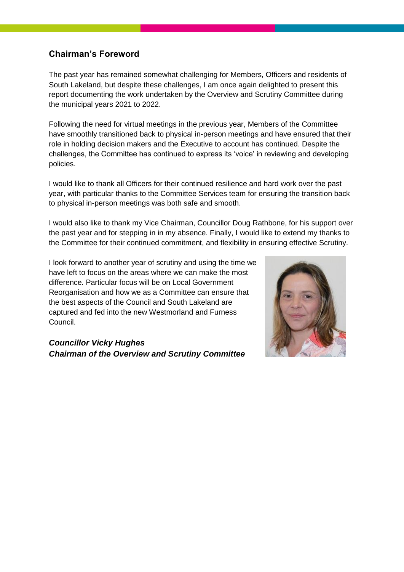## **Chairman's Foreword**

The past year has remained somewhat challenging for Members, Officers and residents of South Lakeland, but despite these challenges, I am once again delighted to present this report documenting the work undertaken by the Overview and Scrutiny Committee during the municipal years 2021 to 2022.

Following the need for virtual meetings in the previous year, Members of the Committee have smoothly transitioned back to physical in-person meetings and have ensured that their role in holding decision makers and the Executive to account has continued. Despite the challenges, the Committee has continued to express its 'voice' in reviewing and developing policies.

I would like to thank all Officers for their continued resilience and hard work over the past year, with particular thanks to the Committee Services team for ensuring the transition back to physical in-person meetings was both safe and smooth.

I would also like to thank my Vice Chairman, Councillor Doug Rathbone, for his support over the past year and for stepping in in my absence. Finally, I would like to extend my thanks to the Committee for their continued commitment, and flexibility in ensuring effective Scrutiny.

I look forward to another year of scrutiny and using the time we have left to focus on the areas where we can make the most difference. Particular focus will be on Local Government Reorganisation and how we as a Committee can ensure that the best aspects of the Council and South Lakeland are captured and fed into the new Westmorland and Furness Council.

#### *Councillor Vicky Hughes Chairman of the Overview and Scrutiny Committee*

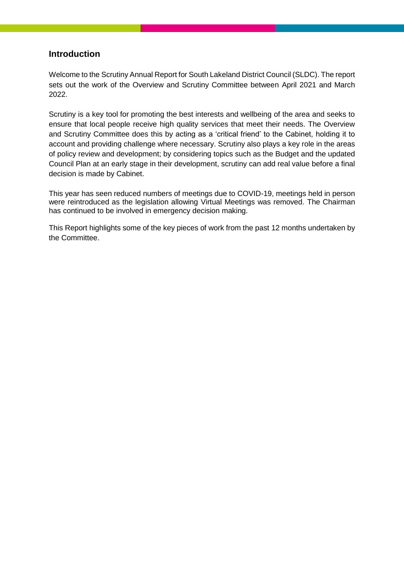#### **Introduction**

Welcome to the Scrutiny Annual Report for South Lakeland District Council (SLDC). The report sets out the work of the Overview and Scrutiny Committee between April 2021 and March 2022.

Scrutiny is a key tool for promoting the best interests and wellbeing of the area and seeks to ensure that local people receive high quality services that meet their needs. The Overview and Scrutiny Committee does this by acting as a 'critical friend' to the Cabinet, holding it to account and providing challenge where necessary. Scrutiny also plays a key role in the areas of policy review and development; by considering topics such as the Budget and the updated Council Plan at an early stage in their development, scrutiny can add real value before a final decision is made by Cabinet.

This year has seen reduced numbers of meetings due to COVID-19, meetings held in person were reintroduced as the legislation allowing Virtual Meetings was removed. The Chairman has continued to be involved in emergency decision making.

This Report highlights some of the key pieces of work from the past 12 months undertaken by the Committee.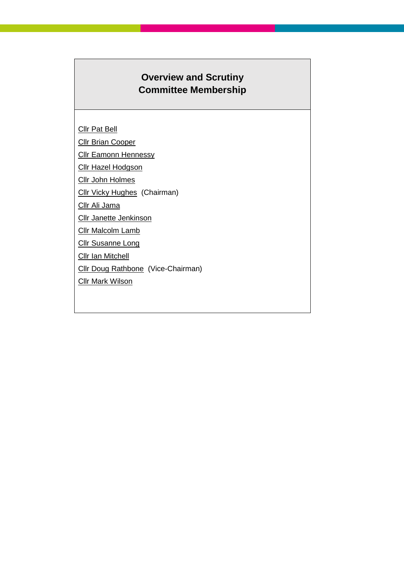# **Overview and Scrutiny Committee Membership**

**[Cllr Pat Bell](https://democracy.southlakeland.gov.uk/mgUserInfo.aspx?UID=1252)** 

**[Cllr Brian Cooper](https://democracy.southlakeland.gov.uk/mgUserInfo.aspx?UID=37)** 

**[Cllr Eamonn Hennessy](https://democracy.southlakeland.gov.uk/mgUserInfo.aspx?UID=1248)** 

[Cllr Hazel Hodgson](https://democracy.southlakeland.gov.uk/mgUserInfo.aspx?UID=1253)

[Cllr John Holmes](https://democracy.southlakeland.gov.uk/mgUserInfo.aspx?UID=55)

[Cllr Vicky Hughes](https://democracy.southlakeland.gov.uk/mgUserInfo.aspx?UID=1177) (Chairman)

[Cllr Ali Jama](https://democracy.southlakeland.gov.uk/mgUserInfo.aspx?UID=1499)

[Cllr Janette Jenkinson](https://democracy.southlakeland.gov.uk/mgUserInfo.aspx?UID=57)

**[Cllr Malcolm Lamb](https://democracy.southlakeland.gov.uk/mgUserInfo.aspx?UID=1359)** 

**[Cllr Susanne Long](https://democracy.southlakeland.gov.uk/mgUserInfo.aspx?UID=1355)** 

**[Cllr Ian Mitchell](https://democracy.southlakeland.gov.uk/mgUserInfo.aspx?UID=1257)** 

[Cllr Doug Rathbone](https://democracy.southlakeland.gov.uk/mgUserInfo.aspx?UID=1255) (Vice-Chairman)

[Cllr Mark Wilson](https://democracy.southlakeland.gov.uk/mgUserInfo.aspx?UID=73)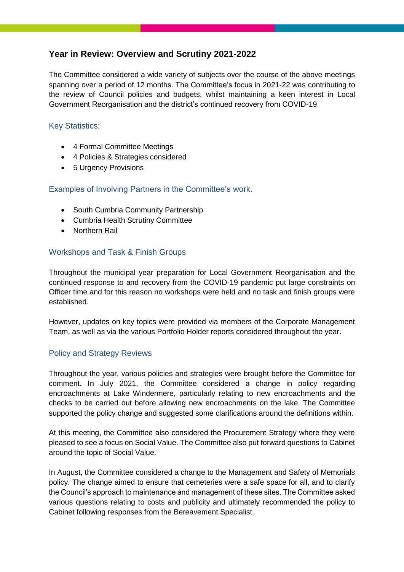### **Year in Review: Overview and Scrutiny 2021-2022**

The Committee considered a wide variety of subjects over the course of the above meetings spanning over a period of 12 months. The Committee's focus in 2021-22 was contributing to the review of Council policies and budgets, whilst maintaining a keen interest in Local Government Reorganisation and the district's continued recovery from COVID-19.

#### Key Statistics:

- 4 Formal Committee Meetings
- 4 Policies & Strategies considered
- 5 Urgency Provisions

#### Examples of Involving Partners in the Committee's work.

- South Cumbria Community Partnership
- Cumbria Health Scrutiny Committee
- Northern Rail

#### Workshops and Task & Finish Groups

Throughout the municipal year preparation for Local Government Reorganisation and the continued response to and recovery from the COVID-19 pandemic put large constraints on Officer time and for this reason no workshops were held and no task and finish groups were established.

However, updates on key topics were provided via members of the Corporate Management Team, as well as via the various Portfolio Holder reports considered throughout the year.

#### Policy and Strategy Reviews

Throughout the year, various policies and strategies were brought before the Committee for comment. In July 2021, the Committee considered a change in policy regarding encroachments at Lake Windermere, particularly relating to new encroachments and the checks to be carried out before allowing new encroachments on the lake. The Committee supported the policy change and suggested some clarifications around the definitions within.

At this meeting, the Committee also considered the Procurement Strategy where they were pleased to see a focus on Social Value. The Committee also put forward questions to Cabinet around the topic of Social Value.

In August, the Committee considered a change to the Management and Safety of Memorials policy. The change aimed to ensure that cemeteries were a safe space for all, and to clarify the Council's approach to maintenance and management of these sites. The Committee asked various questions relating to costs and publicity and ultimately recommended the policy to Cabinet following responses from the Bereavement Specialist.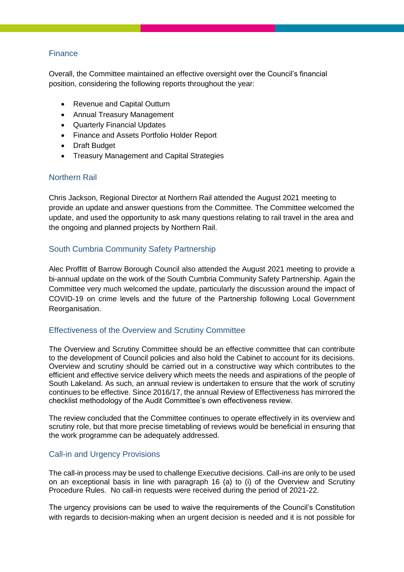#### Finance

Overall, the Committee maintained an effective oversight over the Council's financial position, considering the following reports throughout the year:

- Revenue and Capital Outturn
- Annual Treasury Management
- Quarterly Financial Updates
- Finance and Assets Portfolio Holder Report
- Draft Budget
- Treasury Management and Capital Strategies

#### Northern Rail

Chris Jackson, Regional Director at Northern Rail attended the August 2021 meeting to provide an update and answer questions from the Committee. The Committee welcomed the update, and used the opportunity to ask many questions relating to rail travel in the area and the ongoing and planned projects by Northern Rail.

#### South Cumbria Community Safety Partnership

Alec Proffitt of Barrow Borough Council also attended the August 2021 meeting to provide a bi-annual update on the work of the South Cumbria Community Safety Partnership. Again the Committee very much welcomed the update, particularly the discussion around the impact of COVID-19 on crime levels and the future of the Partnership following Local Government Reorganisation.

#### Effectiveness of the Overview and Scrutiny Committee

The Overview and Scrutiny Committee should be an effective committee that can contribute to the development of Council policies and also hold the Cabinet to account for its decisions. Overview and scrutiny should be carried out in a constructive way which contributes to the efficient and effective service delivery which meets the needs and aspirations of the people of South Lakeland. As such, an annual review is undertaken to ensure that the work of scrutiny continues to be effective. Since 2016/17, the annual Review of Effectiveness has mirrored the checklist methodology of the Audit Committee's own effectiveness review.

The review concluded that the Committee continues to operate effectively in its overview and scrutiny role, but that more precise timetabling of reviews would be beneficial in ensuring that the work programme can be adequately addressed.

#### Call-in and Urgency Provisions

The call-in process may be used to challenge Executive decisions. Call-ins are only to be used on an exceptional basis in line with paragraph 16 (a) to (i) of the Overview and Scrutiny Procedure Rules. No call-in requests were received during the period of 2021-22.

The urgency provisions can be used to waive the requirements of the Council's Constitution with regards to decision-making when an urgent decision is needed and it is not possible for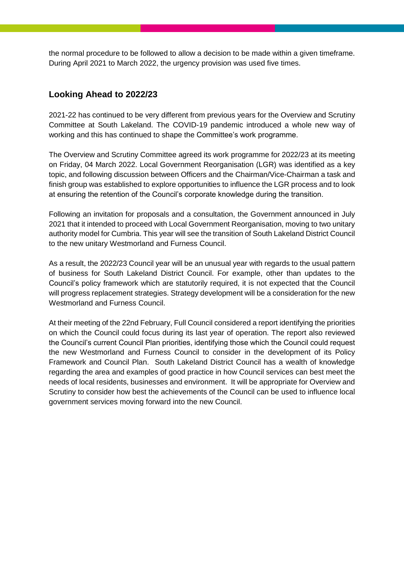the normal procedure to be followed to allow a decision to be made within a given timeframe. During April 2021 to March 2022, the urgency provision was used five times.

## **Looking Ahead to 2022/23**

2021-22 has continued to be very different from previous years for the Overview and Scrutiny Committee at South Lakeland. The COVID-19 pandemic introduced a whole new way of working and this has continued to shape the Committee's work programme.

The Overview and Scrutiny Committee agreed its work programme for 2022/23 at its meeting on Friday, 04 March 2022. Local Government Reorganisation (LGR) was identified as a key topic, and following discussion between Officers and the Chairman/Vice-Chairman a task and finish group was established to explore opportunities to influence the LGR process and to look at ensuring the retention of the Council's corporate knowledge during the transition.

Following an invitation for proposals and a consultation, the Government announced in July 2021 that it intended to proceed with Local Government Reorganisation, moving to two unitary authority model for Cumbria. This year will see the transition of South Lakeland District Council to the new unitary Westmorland and Furness Council.

As a result, the 2022/23 Council year will be an unusual year with regards to the usual pattern of business for South Lakeland District Council. For example, other than updates to the Council's policy framework which are statutorily required, it is not expected that the Council will progress replacement strategies. Strategy development will be a consideration for the new Westmorland and Furness Council.

At their meeting of the 22nd February, Full Council considered a report identifying the priorities on which the Council could focus during its last year of operation. The report also reviewed the Council's current Council Plan priorities, identifying those which the Council could request the new Westmorland and Furness Council to consider in the development of its Policy Framework and Council Plan. South Lakeland District Council has a wealth of knowledge regarding the area and examples of good practice in how Council services can best meet the needs of local residents, businesses and environment. It will be appropriate for Overview and Scrutiny to consider how best the achievements of the Council can be used to influence local government services moving forward into the new Council.